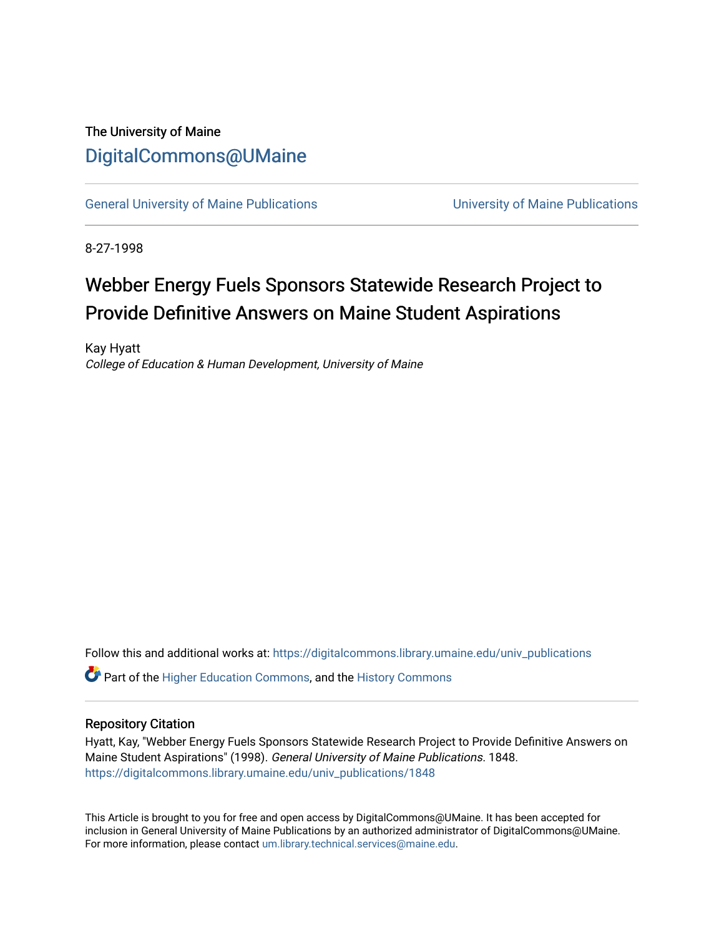### The University of Maine [DigitalCommons@UMaine](https://digitalcommons.library.umaine.edu/)

[General University of Maine Publications](https://digitalcommons.library.umaine.edu/univ_publications) [University of Maine Publications](https://digitalcommons.library.umaine.edu/umaine_publications) 

8-27-1998

# Webber Energy Fuels Sponsors Statewide Research Project to Provide Definitive Answers on Maine Student Aspirations

Kay Hyatt College of Education & Human Development, University of Maine

Follow this and additional works at: [https://digitalcommons.library.umaine.edu/univ\\_publications](https://digitalcommons.library.umaine.edu/univ_publications?utm_source=digitalcommons.library.umaine.edu%2Funiv_publications%2F1848&utm_medium=PDF&utm_campaign=PDFCoverPages) 

**C** Part of the [Higher Education Commons,](http://network.bepress.com/hgg/discipline/1245?utm_source=digitalcommons.library.umaine.edu%2Funiv_publications%2F1848&utm_medium=PDF&utm_campaign=PDFCoverPages) and the [History Commons](http://network.bepress.com/hgg/discipline/489?utm_source=digitalcommons.library.umaine.edu%2Funiv_publications%2F1848&utm_medium=PDF&utm_campaign=PDFCoverPages)

#### Repository Citation

Hyatt, Kay, "Webber Energy Fuels Sponsors Statewide Research Project to Provide Definitive Answers on Maine Student Aspirations" (1998). General University of Maine Publications. 1848. [https://digitalcommons.library.umaine.edu/univ\\_publications/1848](https://digitalcommons.library.umaine.edu/univ_publications/1848?utm_source=digitalcommons.library.umaine.edu%2Funiv_publications%2F1848&utm_medium=PDF&utm_campaign=PDFCoverPages)

This Article is brought to you for free and open access by DigitalCommons@UMaine. It has been accepted for inclusion in General University of Maine Publications by an authorized administrator of DigitalCommons@UMaine. For more information, please contact [um.library.technical.services@maine.edu](mailto:um.library.technical.services@maine.edu).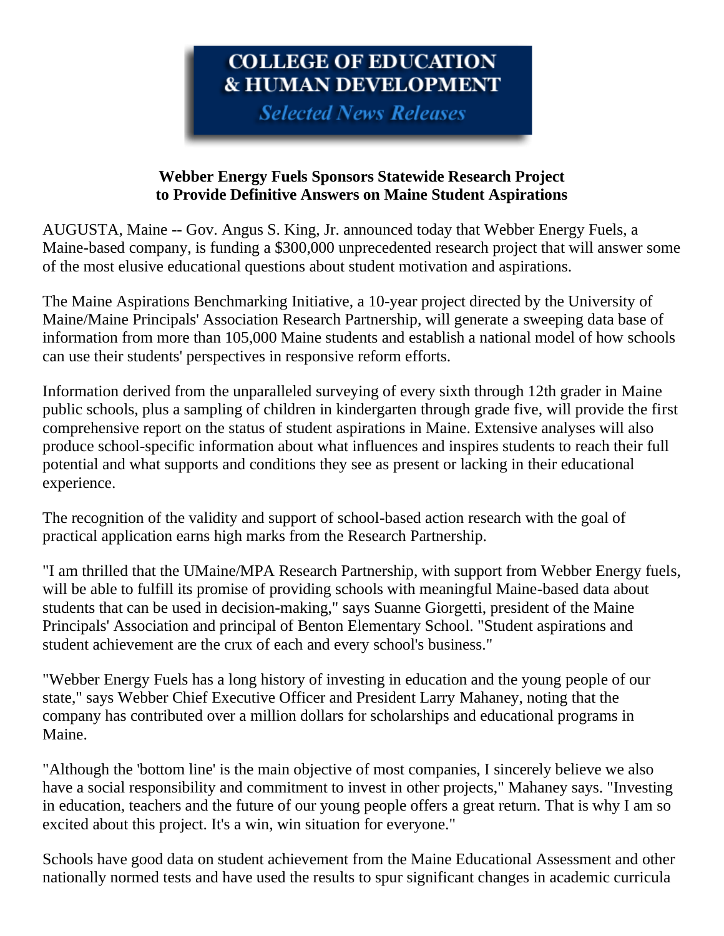## COLLEGE OF EDUCATION **& HUMAN DEVELOPMENT**

**Selected News Releases** 

### **Webber Energy Fuels Sponsors Statewide Research Project to Provide Definitive Answers on Maine Student Aspirations**

AUGUSTA, Maine -- Gov. Angus S. King, Jr. announced today that Webber Energy Fuels, a Maine-based company, is funding a \$300,000 unprecedented research project that will answer some of the most elusive educational questions about student motivation and aspirations.

The Maine Aspirations Benchmarking Initiative, a 10-year project directed by the University of Maine/Maine Principals' Association Research Partnership, will generate a sweeping data base of information from more than 105,000 Maine students and establish a national model of how schools can use their students' perspectives in responsive reform efforts.

Information derived from the unparalleled surveying of every sixth through 12th grader in Maine public schools, plus a sampling of children in kindergarten through grade five, will provide the first comprehensive report on the status of student aspirations in Maine. Extensive analyses will also produce school-specific information about what influences and inspires students to reach their full potential and what supports and conditions they see as present or lacking in their educational experience.

The recognition of the validity and support of school-based action research with the goal of practical application earns high marks from the Research Partnership.

"I am thrilled that the UMaine/MPA Research Partnership, with support from Webber Energy fuels, will be able to fulfill its promise of providing schools with meaningful Maine-based data about students that can be used in decision-making," says Suanne Giorgetti, president of the Maine Principals' Association and principal of Benton Elementary School. "Student aspirations and student achievement are the crux of each and every school's business."

"Webber Energy Fuels has a long history of investing in education and the young people of our state," says Webber Chief Executive Officer and President Larry Mahaney, noting that the company has contributed over a million dollars for scholarships and educational programs in Maine.

"Although the 'bottom line' is the main objective of most companies, I sincerely believe we also have a social responsibility and commitment to invest in other projects," Mahaney says. "Investing in education, teachers and the future of our young people offers a great return. That is why I am so excited about this project. It's a win, win situation for everyone."

Schools have good data on student achievement from the Maine Educational Assessment and other nationally normed tests and have used the results to spur significant changes in academic curricula